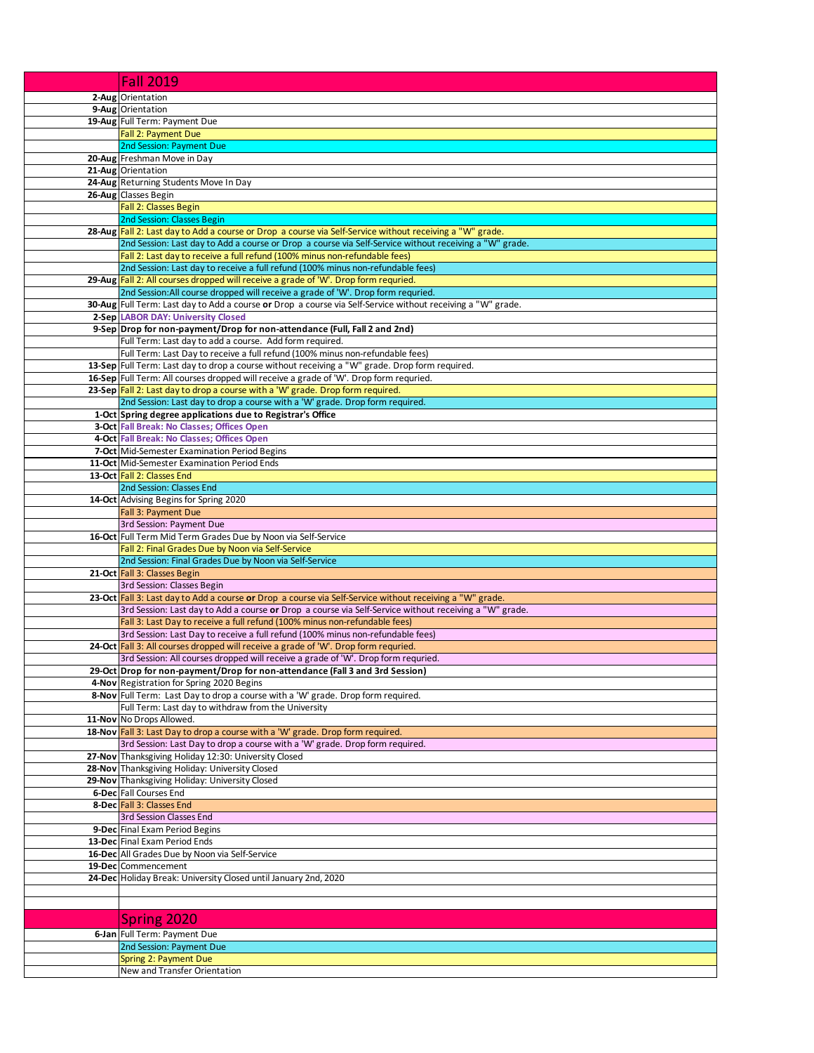| <b>Fall 2019</b>                                                                                                                                                                     |
|--------------------------------------------------------------------------------------------------------------------------------------------------------------------------------------|
| 2-Aug Orientation                                                                                                                                                                    |
| 9-Aug Orientation                                                                                                                                                                    |
| 19-Aug Full Term: Payment Due                                                                                                                                                        |
| Fall 2: Payment Due                                                                                                                                                                  |
| 2nd Session: Payment Due<br>20-Aug Freshman Move in Day                                                                                                                              |
| 21-Aug Orientation                                                                                                                                                                   |
| 24-Aug Returning Students Move In Day                                                                                                                                                |
| 26-Aug Classes Begin                                                                                                                                                                 |
| <b>Fall 2: Classes Begin</b>                                                                                                                                                         |
| <b>2nd Session: Classes Begin</b><br>28-Aug Fall 2: Last day to Add a course or Drop a course via Self-Service without receiving a "W" grade.                                        |
| 2nd Session: Last day to Add a course or Drop a course via Self-Service without receiving a "W" grade.                                                                               |
| Fall 2: Last day to receive a full refund (100% minus non-refundable fees)                                                                                                           |
| 2nd Session: Last day to receive a full refund (100% minus non-refundable fees)                                                                                                      |
| 29-Aug Fall 2: All courses dropped will receive a grade of 'W'. Drop form requried.                                                                                                  |
| 2nd Session: All course dropped will receive a grade of 'W'. Drop form requried.                                                                                                     |
| 30-Aug Full Term: Last day to Add a course or Drop a course via Self-Service without receiving a "W" grade.<br>2-Sep LABOR DAY: University Closed                                    |
| 9-Sep Drop for non-payment/Drop for non-attendance (Full, Fall 2 and 2nd)                                                                                                            |
| Full Term: Last day to add a course. Add form required.                                                                                                                              |
| Full Term: Last Day to receive a full refund (100% minus non-refundable fees)                                                                                                        |
| 13-Sep Full Term: Last day to drop a course without receiving a "W" grade. Drop form required.                                                                                       |
| 16-Sep Full Term: All courses dropped will receive a grade of 'W'. Drop form requried.<br>23-Sep Fall 2: Last day to drop a course with a 'W' grade. Drop form required.             |
| 2nd Session: Last day to drop a course with a 'W' grade. Drop form required.                                                                                                         |
| 1-Oct Spring degree applications due to Registrar's Office                                                                                                                           |
| 3-Oct Fall Break: No Classes; Offices Open                                                                                                                                           |
| 4-Oct Fall Break: No Classes; Offices Open                                                                                                                                           |
| 7-Oct Mid-Semester Examination Period Begins                                                                                                                                         |
| 11-Oct Mid-Semester Examination Period Ends<br>13-Oct Fall 2: Classes End                                                                                                            |
| 2nd Session: Classes End                                                                                                                                                             |
| 14-Oct Advising Begins for Spring 2020                                                                                                                                               |
| Fall 3: Payment Due                                                                                                                                                                  |
| 3rd Session: Payment Due                                                                                                                                                             |
| 16-Oct Full Term Mid Term Grades Due by Noon via Self-Service<br>Fall 2: Final Grades Due by Noon via Self-Service                                                                   |
| 2nd Session: Final Grades Due by Noon via Self-Service                                                                                                                               |
| 21-Oct Fall 3: Classes Begin                                                                                                                                                         |
| 3rd Session: Classes Begin                                                                                                                                                           |
| 23-Oct Fall 3: Last day to Add a course or Drop a course via Self-Service without receiving a "W" grade.                                                                             |
| 3rd Session: Last day to Add a course or Drop a course via Self-Service without receiving a "W" grade.<br>Fall 3: Last Day to receive a full refund (100% minus non-refundable fees) |
| 3rd Session: Last Day to receive a full refund (100% minus non-refundable fees)                                                                                                      |
| 24-Oct Fall 3: All courses dropped will receive a grade of 'W'. Drop form requried.                                                                                                  |
| 3rd Session: All courses dropped will receive a grade of 'W'. Drop form requried.                                                                                                    |
| 29-Oct Drop for non-payment/Drop for non-attendance (Fall 3 and 3rd Session)                                                                                                         |
| 4-Nov Registration for Spring 2020 Begins<br>8-Nov Full Term: Last Day to drop a course with a 'W' grade. Drop form required.                                                        |
| Full Term: Last day to withdraw from the University                                                                                                                                  |
| 11-Nov No Drops Allowed.                                                                                                                                                             |
| 18-Nov Fall 3: Last Day to drop a course with a 'W' grade. Drop form required.                                                                                                       |
| 3rd Session: Last Day to drop a course with a 'W' grade. Drop form required.<br>27-Nov Thanksgiving Holiday 12:30: University Closed                                                 |
| 28-Nov Thanksgiving Holiday: University Closed                                                                                                                                       |
| 29-Nov Thanksgiving Holiday: University Closed                                                                                                                                       |
| 6-Dec Fall Courses End                                                                                                                                                               |
| 8-Dec Fall 3: Classes End                                                                                                                                                            |
| 3rd Session Classes End                                                                                                                                                              |
| 9-Dec Final Exam Period Begins<br>13-Dec Final Exam Period Ends                                                                                                                      |
| 16-Dec All Grades Due by Noon via Self-Service                                                                                                                                       |
| 19-Dec Commencement                                                                                                                                                                  |
| 24-Dec Holiday Break: University Closed until January 2nd, 2020                                                                                                                      |
|                                                                                                                                                                                      |
|                                                                                                                                                                                      |
| Spring 2020                                                                                                                                                                          |
| 6-Jan Full Term: Payment Due                                                                                                                                                         |
| 2nd Session: Payment Due                                                                                                                                                             |
| Spring 2: Payment Due<br>New and Transfer Orientation                                                                                                                                |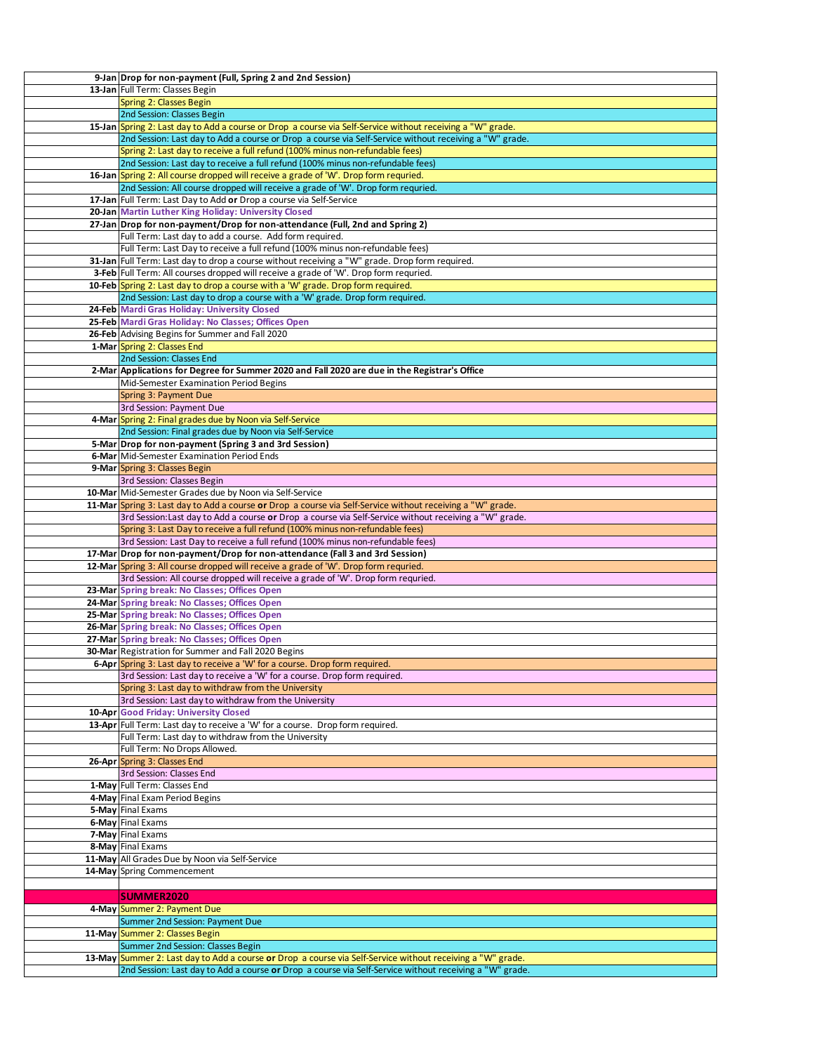| 9-Jan Drop for non-payment (Full, Spring 2 and 2nd Session)                                                                                                                                                          |
|----------------------------------------------------------------------------------------------------------------------------------------------------------------------------------------------------------------------|
| 13-Jan Full Term: Classes Begin                                                                                                                                                                                      |
| <b>Spring 2: Classes Begin</b>                                                                                                                                                                                       |
| 2nd Session: Classes Begin                                                                                                                                                                                           |
|                                                                                                                                                                                                                      |
| 15-Jan Spring 2: Last day to Add a course or Drop a course via Self-Service without receiving a "W" grade.                                                                                                           |
| 2nd Session: Last day to Add a course or Drop a course via Self-Service without receiving a "W" grade.                                                                                                               |
| Spring 2: Last day to receive a full refund (100% minus non-refundable fees)                                                                                                                                         |
| 2nd Session: Last day to receive a full refund (100% minus non-refundable fees)                                                                                                                                      |
| 16-Jan Spring 2: All course dropped will receive a grade of 'W'. Drop form requried.                                                                                                                                 |
| 2nd Session: All course dropped will receive a grade of 'W'. Drop form requried.                                                                                                                                     |
| 17-Jan Full Term: Last Day to Add or Drop a course via Self-Service                                                                                                                                                  |
| 20-Jan Martin Luther King Holiday: University Closed                                                                                                                                                                 |
| 27-Jan Drop for non-payment/Drop for non-attendance (Full, 2nd and Spring 2)                                                                                                                                         |
| Full Term: Last day to add a course. Add form required.                                                                                                                                                              |
|                                                                                                                                                                                                                      |
| Full Term: Last Day to receive a full refund (100% minus non-refundable fees)                                                                                                                                        |
| 31-Jan Full Term: Last day to drop a course without receiving a "W" grade. Drop form required.                                                                                                                       |
| 3-Feb Full Term: All courses dropped will receive a grade of 'W'. Drop form requried.                                                                                                                                |
| 10-Feb Spring 2: Last day to drop a course with a 'W' grade. Drop form required.                                                                                                                                     |
| 2nd Session: Last day to drop a course with a 'W' grade. Drop form required.                                                                                                                                         |
| 24-Feb Mardi Gras Holiday: University Closed                                                                                                                                                                         |
| 25-Feb Mardi Gras Holiday: No Classes; Offices Open                                                                                                                                                                  |
| 26-Feb Advising Begins for Summer and Fall 2020                                                                                                                                                                      |
| 1-Mar Spring 2: Classes End                                                                                                                                                                                          |
| 2nd Session: Classes End                                                                                                                                                                                             |
|                                                                                                                                                                                                                      |
| 2-Mar Applications for Degree for Summer 2020 and Fall 2020 are due in the Registrar's Office                                                                                                                        |
| Mid-Semester Examination Period Begins                                                                                                                                                                               |
| Spring 3: Payment Due                                                                                                                                                                                                |
| 3rd Session: Payment Due                                                                                                                                                                                             |
| 4-Mar Spring 2: Final grades due by Noon via Self-Service                                                                                                                                                            |
| 2nd Session: Final grades due by Noon via Self-Service                                                                                                                                                               |
| 5-Mar Drop for non-payment (Spring 3 and 3rd Session)                                                                                                                                                                |
| 6-Mar Mid-Semester Examination Period Ends                                                                                                                                                                           |
| 9-Mar Spring 3: Classes Begin                                                                                                                                                                                        |
| 3rd Session: Classes Begin                                                                                                                                                                                           |
|                                                                                                                                                                                                                      |
| 10-Mar Mid-Semester Grades due by Noon via Self-Service                                                                                                                                                              |
| 11-Mar Spring 3: Last day to Add a course or Drop a course via Self-Service without receiving a "W" grade.                                                                                                           |
| 3rd Session: Last day to Add a course or Drop a course via Self-Service without receiving a "W" grade.                                                                                                               |
| Spring 3: Last Day to receive a full refund (100% minus non-refundable fees)                                                                                                                                         |
| 3rd Session: Last Day to receive a full refund (100% minus non-refundable fees)                                                                                                                                      |
| 17-Mar Drop for non-payment/Drop for non-attendance (Fall 3 and 3rd Session)                                                                                                                                         |
| 12-Mar Spring 3: All course dropped will receive a grade of 'W'. Drop form requried.                                                                                                                                 |
| 3rd Session: All course dropped will receive a grade of 'W'. Drop form requried.                                                                                                                                     |
| 23-Mar Spring break: No Classes; Offices Open                                                                                                                                                                        |
| 24-Mar Spring break: No Classes; Offices Open                                                                                                                                                                        |
| 25-Mar Spring break: No Classes; Offices Open                                                                                                                                                                        |
| 26-Mar Spring break: No Classes; Offices Open                                                                                                                                                                        |
|                                                                                                                                                                                                                      |
| 27-Mar Spring break: No Classes; Offices Open                                                                                                                                                                        |
| 30-Mar Registration for Summer and Fall 2020 Begins                                                                                                                                                                  |
| 6-Apr Spring 3: Last day to receive a 'W' for a course. Drop form required.                                                                                                                                          |
| 3rd Session: Last day to receive a 'W' for a course. Drop form required.                                                                                                                                             |
| Spring 3: Last day to withdraw from the University                                                                                                                                                                   |
|                                                                                                                                                                                                                      |
| 3rd Session: Last day to withdraw from the University                                                                                                                                                                |
| 10-Apr Good Friday: University Closed                                                                                                                                                                                |
|                                                                                                                                                                                                                      |
| 13-Apr Full Term: Last day to receive a 'W' for a course. Drop form required.<br>Full Term: Last day to withdraw from the University                                                                                 |
|                                                                                                                                                                                                                      |
| Full Term: No Drops Allowed.                                                                                                                                                                                         |
| 26-Apr Spring 3: Classes End                                                                                                                                                                                         |
| 3rd Session: Classes End                                                                                                                                                                                             |
| 1-May Full Term: Classes End                                                                                                                                                                                         |
| 4-May Final Exam Period Begins                                                                                                                                                                                       |
| 5-May Final Exams                                                                                                                                                                                                    |
| 6-May Final Exams                                                                                                                                                                                                    |
| 7-May Final Exams                                                                                                                                                                                                    |
| 8-May Final Exams                                                                                                                                                                                                    |
| 11-May All Grades Due by Noon via Self-Service                                                                                                                                                                       |
| 14-May Spring Commencement                                                                                                                                                                                           |
|                                                                                                                                                                                                                      |
|                                                                                                                                                                                                                      |
| <b>SUMMER2020</b>                                                                                                                                                                                                    |
| 4-May Summer 2: Payment Due                                                                                                                                                                                          |
| Summer 2nd Session: Payment Due                                                                                                                                                                                      |
| 11-May Summer 2: Classes Begin                                                                                                                                                                                       |
| Summer 2nd Session: Classes Begin                                                                                                                                                                                    |
| 13-May Summer 2: Last day to Add a course or Drop a course via Self-Service without receiving a "W" grade.<br>2nd Session: Last day to Add a course or Drop a course via Self-Service without receiving a "W" grade. |